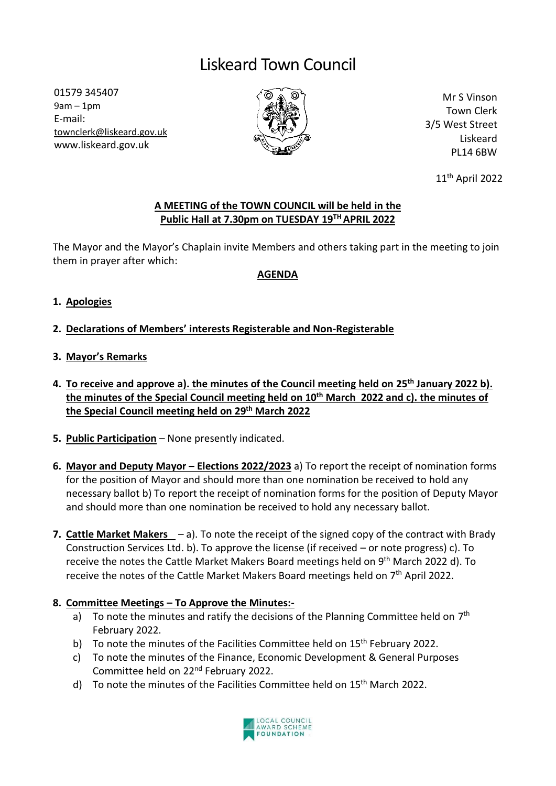# Liskeard Town Council

01579 345407 9am – 1pm E-mail: [townclerk@liskeard.gov.uk](mailto:townclerk@liskeard.gov.uk) www.liskeard.gov.uk



Mr S Vinson Town Clerk 3/5 West Street Liskeard PL14 6BW

11th April 2022

### **A MEETING of the TOWN COUNCIL will be held in the Public Hall at 7.30pm on TUESDAY 19TH APRIL 2022**

The Mayor and the Mayor's Chaplain invite Members and others taking part in the meeting to join them in prayer after which:

### **AGENDA**

- **1. Apologies**
- **2. Declarations of Members' interests Registerable and Non-Registerable**
- **3. Mayor's Remarks**
- **4. To receive and approve a). the minutes of the Council meeting held on 25th January 2022 b). the minutes of the Special Council meeting held on 10th March 2022 and c). the minutes of the Special Council meeting held on 29 th March 2022**
- **5. Public Participation** None presently indicated.
- **6. Mayor and Deputy Mayor – Elections 2022/2023** a) To report the receipt of nomination forms for the position of Mayor and should more than one nomination be received to hold any necessary ballot b) To report the receipt of nomination forms for the position of Deputy Mayor and should more than one nomination be received to hold any necessary ballot.
- **7. Cattle Market Makers** a). To note the receipt of the signed copy of the contract with Brady Construction Services Ltd. b). To approve the license (if received – or note progress) c). To receive the notes the Cattle Market Makers Board meetings held on 9<sup>th</sup> March 2022 d). To receive the notes of the Cattle Market Makers Board meetings held on 7<sup>th</sup> April 2022.

### **8. Committee Meetings – To Approve the Minutes:-**

- a) To note the minutes and ratify the decisions of the Planning Committee held on  $7<sup>th</sup>$ February 2022.
- b) To note the minutes of the Facilities Committee held on  $15<sup>th</sup>$  February 2022.
- c) To note the minutes of the Finance, Economic Development & General Purposes Committee held on 22nd February 2022.
- d) To note the minutes of the Facilities Committee held on 15<sup>th</sup> March 2022.

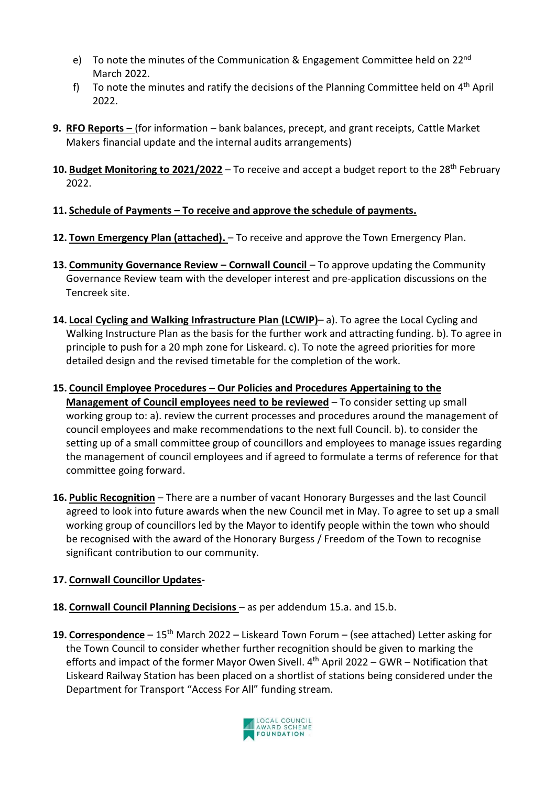- e) To note the minutes of the Communication & Engagement Committee held on 22nd March 2022.
- f) To note the minutes and ratify the decisions of the Planning Committee held on 4<sup>th</sup> April 2022.
- **9. RFO Reports –** (for information bank balances, precept, and grant receipts, Cattle Market Makers financial update and the internal audits arrangements)
- **10. Budget Monitoring to 2021/2022** To receive and accept a budget report to the 28th February 2022.
- **11. Schedule of Payments – To receive and approve the schedule of payments.**
- **12. Town Emergency Plan (attached).** To receive and approve the Town Emergency Plan.
- **13. Community Governance Review – Cornwall Council**  To approve updating the Community Governance Review team with the developer interest and pre-application discussions on the Tencreek site.
- **14. Local Cycling and Walking Infrastructure Plan (LCWIP)** a). To agree the Local Cycling and Walking Instructure Plan as the basis for the further work and attracting funding. b). To agree in principle to push for a 20 mph zone for Liskeard. c). To note the agreed priorities for more detailed design and the revised timetable for the completion of the work.
- **15. Council Employee Procedures – Our Policies and Procedures Appertaining to the Management of Council employees need to be reviewed** – To consider setting up small working group to: a). review the current processes and procedures around the management of council employees and make recommendations to the next full Council. b). to consider the setting up of a small committee group of councillors and employees to manage issues regarding the management of council employees and if agreed to formulate a terms of reference for that committee going forward.
- **16. Public Recognition** There are a number of vacant Honorary Burgesses and the last Council agreed to look into future awards when the new Council met in May. To agree to set up a small working group of councillors led by the Mayor to identify people within the town who should be recognised with the award of the Honorary Burgess / Freedom of the Town to recognise significant contribution to our community.

## **17. Cornwall Councillor Updates-**

- **18. Cornwall Council Planning Decisions**  as per addendum 15.a. and 15.b.
- **19. Correspondence** 15th March 2022 Liskeard Town Forum (see attached) Letter asking for the Town Council to consider whether further recognition should be given to marking the efforts and impact of the former Mayor Owen Sivell. 4<sup>th</sup> April 2022 – GWR – Notification that Liskeard Railway Station has been placed on a shortlist of stations being considered under the Department for Transport "Access For All" funding stream.